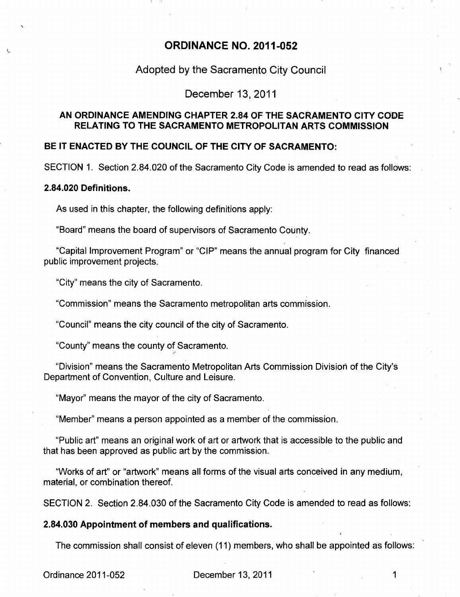# **ORDINANCE NO. 2011-052**

# **Adopted by the Sacramento City Council**

## **December 13, 2011**

## **AN ORDINANCE AMENDING CHAPTER 2.84 OF THE SACRAMENTO CITY CODE RELATING TO THE SACRAMENTO METROPOLITAN ARTS COMMISSION**

# **BE IT ENACTED BY THE COUNCIL OF THE CITY OF SACRAMENTO:**

SECTION 1. Section 2.84.020 of the Sacramento City Code is amended to read as follows:

#### **2.84.020 Definitions.**

As used in this chapter, the following definitions apply:

"Board" means the board of supervisors of Sacramento County.

"Capital Improvement Program" or "CIP" means the annual program for City financed public improvement projects.

"City" means the city of Sacramento.

"Commission" means the Sacramento metropolitan arts commission.

"Council" means the city council of the city of Sacramento.

"County" means the county of Sacramento.

"Division" means the Sacramento Metropolitan Arts Commission Division of the City's Department of Convention, Culture and Leisure.

"Mayor" means the mayor of the city of Sacramento.

"Member" means a person appointed as a member of the commission.

"Public art" means an original work of art or artwork that is accessible to the public and that has been approved as public art by the commission.

"Works of art" or "artwork" means all forms of the visual arts conceived in any medium, material, or combination thereof.

SECTION 2. Section 2.84.030 of the Sacramento City Code is amended to read as follows:

#### **2.84.030 Appointment of members and qualifications.**

The commission shall consist of eleven (11) members, who shall be appointed as follows:

Ordinance 2011-052 December 13, 2011 1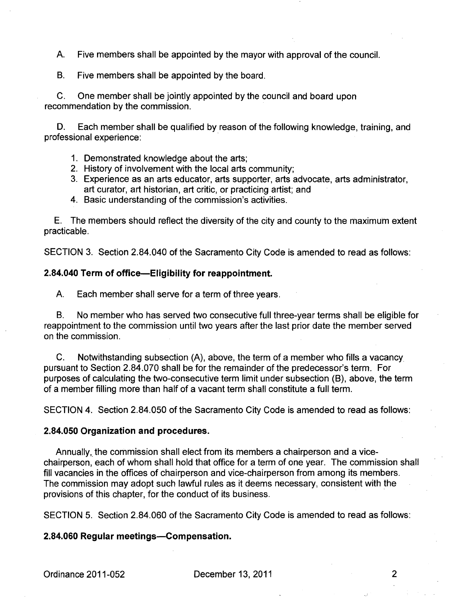A. Five members shall be appointed by the mayor with approval of the council.

B. Five members shall be appointed by the board.

C. One member shall be jointly appointed by the council and board upon recommendation by the commission.

D. Each member shall be qualified by reason of the following knowledge, training, and professional experience:

- 1. Demonstrated knowledge about the arts;
- 2. History of involvement with the local arts community;
- 3. Experience as an arts educator, arts supporter, arts advocate, arts administrator, art curator, art historian, art critic, or practicing artist; and
- 4. Basic understanding of the commission's activities.

E. The members should reflect the diversity of the city and county to the maximum extent practicable.

SECTION 3. Section 2.84.040 of the Sacramento City Code is amended to read as follows:

#### **2.84.040 Term of office—Eligibility for reappointment.**

A. Each member shall serve for a term of three years.

B. No member who has served two consecutive full three-year terms shall be eligible for reappointment to the commission until two years after the last prior date the member served on the commission.

C. Notwithstanding subsection (A), above, the term of a member who fills a vacancy pursuant to Section 2.84.070 shall be for the remainder of the predecessor's term. For purposes of calculating the two-consecutive term limit under subsection **(B),** above, the term of a member filling more than half of a vacant term shall constitute a full term.

SECTION 4. Section 2.84.050 of the Sacramento City Code is amended to read as follows:

#### **2.84.050 Organization and procedures.**

Annually, the commission shall elect from its members a chairperson and a vicechairperson, each of whom shall hold that office for a term of one year. The commission shall fill vacancies in the offices of chairperson and vice-chairperson from among its members. The commission may adopt such lawful rules as it deems necessary, consistent with the provisions of this chapter, for the conduct of its business.

SECTION 5. Section 2.84.060 of the Sacramento City Code is amended to read as follows:

#### **2.84.060 Regular meetings—Compensation.**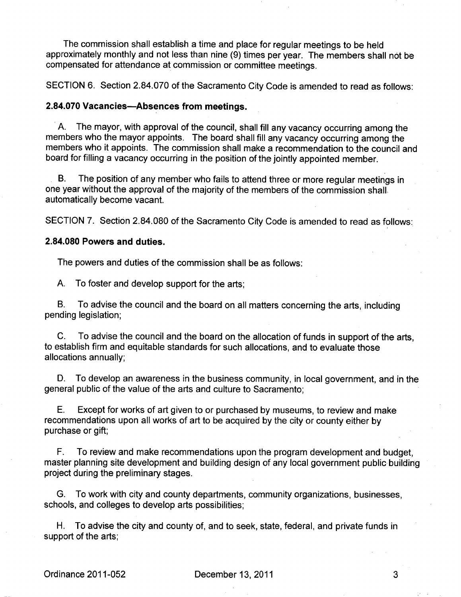The commission shall establish a time and place for regular meetings to be held approximately monthly and not less than nine (9) times per year. The members shall not be compensated for attendance at commission or committee meetings.

SECTION 6. Section 2.84.070 of the Sacramento City Code is amended to read as follows:

# **2.84.070 Vacancies—Absences from meetings.**

A. The mayor, with approval of the council, shall fill any vacancy occurring among the members who the mayor appoints. The board shall fill any vacancy occurring among the members who it appoints. The commission shall make a recommendation to the council and board for filling a vacancy occurring in the position of the jointly appointed member.

B. The position of any member who fails to attend three or more regular meetings in one year without the approval of the majority of the members of the commission shall automatically become vacant.

SECTION 7. Section 2.84.080 of the Sacramento City Code is amended to read as follows:

# **2.84.080 Powers and duties.**

The powers and duties of the commission shall be as follows:

A. To foster and develop support for the arts;

B. To advise the council and the board on all matters concerning the arts, including pending legislation;

C. To advise the council and the board on the allocation of funds in support of the arts, to establish firm and equitable standards for such allocations, and to evaluate those allocations annually;

D. To develop an awareness in the business community, in local government, and in the general public of the value of the arts and culture to Sacramento;

E. Except for works of art given to or purchased by museums, to review and make recommendations upon all works of art to be acquired by the city or county either by purchase or gift;

F. To review and make recommendations upon the program development and budget, master planning site development and building design of any local government public building project during the preliminary stages.

G. To work with city and county departments, community organizations, businesses, schools, and colleges to develop arts possibilities;

H. To advise the city and county of, and to seek, state, federal, and private funds in support of the arts;

3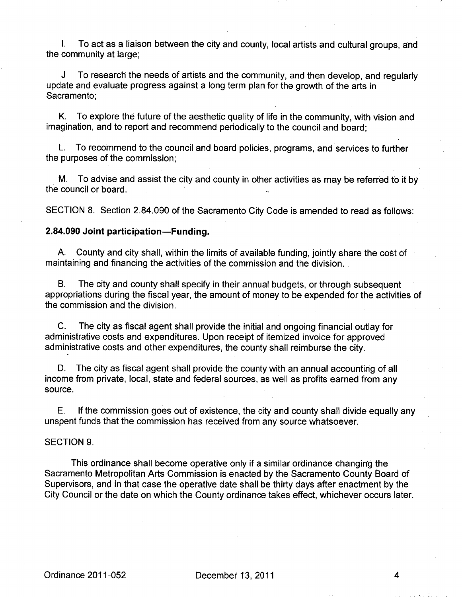I. To act as a liaison between the city and county, local artists and cultural groups, and the community at large;

J To research the needs of artists and the community, and then develop, and regularly update and evaluate progress against a long term plan for the growth of the arts in Sacramento;

K. To explore the future of the aesthetic quality of life in the community, with vision and imagination, and to report and recommend periodically to the council and board;

L. To recommend to the council and board policies, programs, and services to further the purposes of the commission;

M. To advise and assist the city and county in other activities as may be referred to it by the council or board.

SECTION 8. Section 2.84.090 of the Sacramento City Code is amended to read as follows:

#### **2.84.090 Joint participation—Funding.**

A. County and city shall, within the limits of available funding, jointly share the cost of maintaining and financing the activities of the commission and the division.

B. The city and county shall specify in their annual budgets, or through subsequent appropriations during the fiscal year, the amount of money to be expended for the activities of the commission and the division.

C. The city as fiscal agent shall provide the initial and ongoing financial outlay for administrative costs and expenditures. Upon receipt of itemized invoice for approved administrative costs and other expenditures, the county shall reimburse the city.

D. The city as fiscal agent shall provide the county with an annual accounting of all income from private, local, state and federal sources, as well as profits earned from any source.

E. If the commission goes out of existence, the city and county shall divide equally any unspent funds that the commission has received from any source whatsoever.

# SECTION 9.

This ordinance shall become operative only if a similar ordinance changing the Sacramento Metropolitan Arts Commission is enacted by the Sacramento County Board of Supervisors, and in that case the operative date shall be thirty days after enactment by the City Council or the date on which the County ordinance takes effect, whichever occurs later.